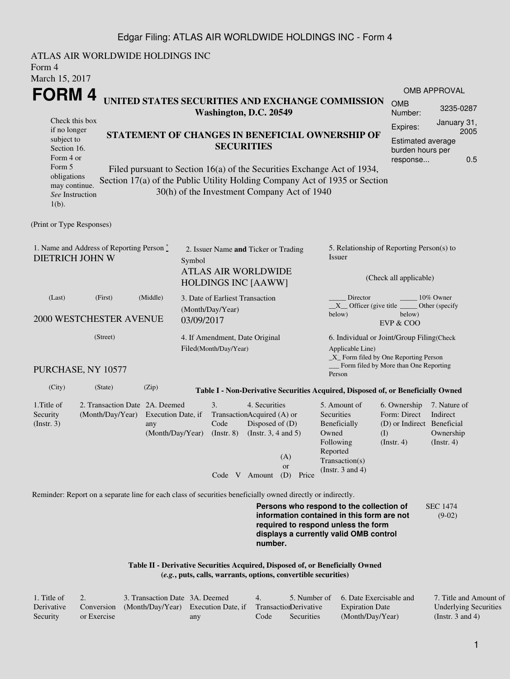## Edgar Filing: ATLAS AIR WORLDWIDE HOLDINGS INC - Form 4

ATLAS AIR WORLDWIDE HOLDINGS INC Form 4 March 15, 2017 **FORM 4** Check this box if no longer subject to Section 16. Form 4 or Form 5 obligations may continue. *See* Instruction 1(b). **UNITED STATES SECURITIES AND EXCHANGE COMMISSION Washington, D.C. 20549 STATEMENT OF CHANGES IN BENEFICIAL OWNERSHIP OF SECURITIES** Filed pursuant to Section 16(a) of the Securities Exchange Act of 1934, Section 17(a) of the Public Utility Holding Company Act of 1935 or Section 30(h) of the Investment Company Act of 1940 OMB APPROVAL OMB Number: 3235-0287 Expires: January 31, 2005 Estimated average burden hours per response... 0.5 (Print or Type Responses) 1. Name and Address of Reporting Person  $\degree$ DIETRICH JOHN W 2. Issuer Name **and** Ticker or Trading Symbol ATLAS AIR WORLDWIDE HOLDINGS INC [AAWW] 5. Relationship of Reporting Person(s) to Issuer (Check all applicable) Director \_\_\_\_\_\_\_\_ 10% Owner \_\_X\_\_ Officer (give title below) Other (specify below) EVP & COO (Last) (First) (Middle) 2000 WESTCHESTER AVENUE 3. Date of Earliest Transaction (Month/Day/Year) 03/09/2017 (Street) PURCHASE, NY 10577 4. If Amendment, Date Original Filed(Month/Day/Year) 6. Individual or Joint/Group Filing(Check Applicable Line) \_X\_ Form filed by One Reporting Person Form filed by More than One Reporting Person (City) (State) (Zip) **Table I - Non-Derivative Securities Acquired, Disposed of, or Beneficially Owned** 1.Title of Security (Instr. 3) 2. Transaction Date 2A. Deemed (Month/Day/Year) Execution Date, if any (Month/Day/Year) 3. Transaction Acquired (A) or Code (Instr. 8) 4. Securities Disposed of (D) (Instr. 3, 4 and 5) 5. Amount of **Securities** Beneficially Owned Following Reported Transaction(s) (Instr. 3 and 4) 6. Ownership Form: Direct (D) or Indirect Beneficial (I) (Instr. 4) 7. Nature of Indirect Ownership (Instr. 4) Code V Amount (D) Price (A) or Reminder: Report on a separate line for each class of securities beneficially owned directly or indirectly. **Persons who respond to the collection of information contained in this form are not required to respond unless the form** SEC 1474 (9-02)

> **Table II - Derivative Securities Acquired, Disposed of, or Beneficially Owned (***e.g.***, puts, calls, warrants, options, convertible securities)**

| 1. Title of |             | 3. Transaction Date 3A. Deemed                                        |     | $\overline{4}$ |            | 5. Number of 6. Date Exercisable and | 7. Title and Amount of       |
|-------------|-------------|-----------------------------------------------------------------------|-----|----------------|------------|--------------------------------------|------------------------------|
| Derivative  |             | Conversion (Month/Day/Year) Execution Date, if Transaction Derivative |     |                |            | <b>Expiration Date</b>               | <b>Underlying Securities</b> |
| Security    | or Exercise |                                                                       | any | Code           | Securities | (Month/Day/Year)                     | (Instr. 3 and 4)             |

**number.**

**displays a currently valid OMB control**